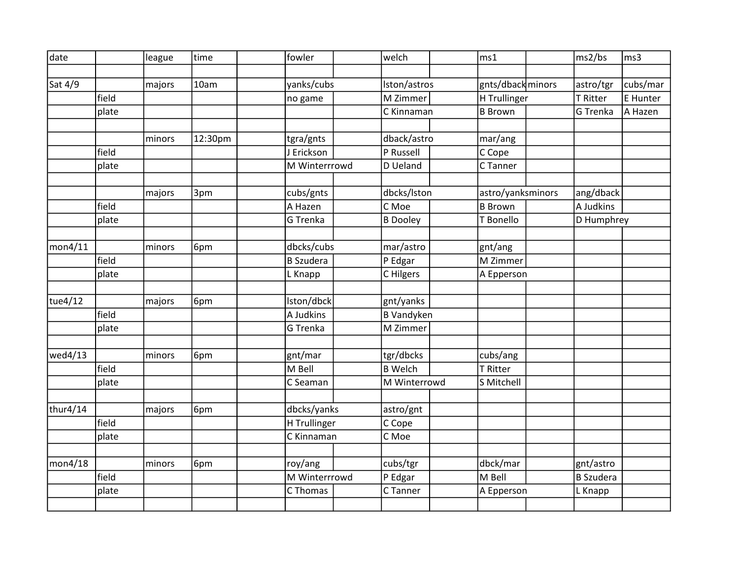| date     |       | league | time    | fowler           | welch             | ms1               | ms2/bs           | $\mathsf{ms3}$ |
|----------|-------|--------|---------|------------------|-------------------|-------------------|------------------|----------------|
|          |       |        |         |                  |                   |                   |                  |                |
| Sat 4/9  |       | majors | 10am    | yanks/cubs       | Iston/astros      | gnts/dback minors | astro/tgr        | cubs/mar       |
|          | field |        |         | no game          | M Zimmer          | H Trullinger      | <b>T</b> Ritter  | E Hunter       |
|          | plate |        |         |                  | C Kinnaman        | <b>B</b> Brown    | G Trenka         | A Hazen        |
|          |       |        |         |                  |                   |                   |                  |                |
|          |       | minors | 12:30pm | tgra/gnts        | dback/astro       | mar/ang           |                  |                |
|          | field |        |         | J Erickson       | P Russell         | C Cope            |                  |                |
|          | plate |        |         | M Winterrrowd    | D Ueland          | C Tanner          |                  |                |
|          |       |        |         |                  |                   |                   |                  |                |
|          |       | majors | 3pm     | cubs/gnts        | dbcks/lston       | astro/yanksminors | ang/dback        |                |
|          | field |        |         | A Hazen          | C Moe             | <b>B</b> Brown    | A Judkins        |                |
|          | plate |        |         | G Trenka         | <b>B</b> Dooley   | T Bonello         | D Humphrey       |                |
|          |       |        |         |                  |                   |                   |                  |                |
| mon4/11  |       | minors | 6pm     | dbcks/cubs       | mar/astro         | gnt/ang           |                  |                |
|          | field |        |         | <b>B</b> Szudera | P Edgar           | M Zimmer          |                  |                |
|          | plate |        |         | L Knapp          | C Hilgers         | A Epperson        |                  |                |
|          |       |        |         |                  |                   |                   |                  |                |
| tue4/12  |       | majors | 6pm     | Iston/dbck       | gnt/yanks         |                   |                  |                |
|          | field |        |         | A Judkins        | <b>B</b> Vandyken |                   |                  |                |
|          | plate |        |         | G Trenka         | M Zimmer          |                   |                  |                |
|          |       |        |         |                  |                   |                   |                  |                |
| wed4/13  |       | minors | 6pm     | gnt/mar          | tgr/dbcks         | cubs/ang          |                  |                |
|          | field |        |         | M Bell           | <b>B</b> Welch    | T Ritter          |                  |                |
|          | plate |        |         | C Seaman         | M Winterrowd      | S Mitchell        |                  |                |
|          |       |        |         |                  |                   |                   |                  |                |
| thur4/14 |       | majors | 6pm     | dbcks/yanks      | astro/gnt         |                   |                  |                |
|          | field |        |         | H Trullinger     | C Cope            |                   |                  |                |
|          | plate |        |         | C Kinnaman       | C Moe             |                   |                  |                |
|          |       |        |         |                  |                   |                   |                  |                |
| mon4/18  |       | minors | 6pm     | roy/ang          | cubs/tgr          | dbck/mar          | gnt/astro        |                |
|          | field |        |         | M Winterrrowd    | P Edgar           | M Bell            | <b>B</b> Szudera |                |
|          | plate |        |         | C Thomas         | C Tanner          | A Epperson        | L Knapp          |                |
|          |       |        |         |                  |                   |                   |                  |                |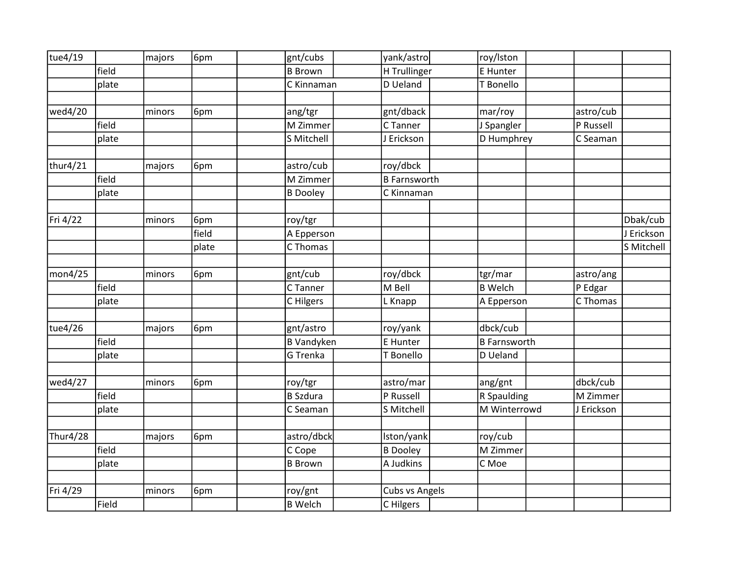| tue4/19  |       | majors | 6pm   | gnt/cubs          | yank/astro          | roy/Iston           |            |            |
|----------|-------|--------|-------|-------------------|---------------------|---------------------|------------|------------|
|          | field |        |       | <b>B</b> Brown    | H Trullinger        | E Hunter            |            |            |
|          | plate |        |       | C Kinnaman        | D Ueland            | T Bonello           |            |            |
|          |       |        |       |                   |                     |                     |            |            |
| wed4/20  |       | minors | 6pm   | ang/tgr           | gnt/dback           | mar/roy             | astro/cub  |            |
|          | field |        |       | M Zimmer          | C Tanner            | J Spangler          | P Russell  |            |
|          | plate |        |       | S Mitchell        | J Erickson          | D Humphrey          | C Seaman   |            |
|          |       |        |       |                   |                     |                     |            |            |
| thur4/21 |       | majors | 6pm   | astro/cub         | roy/dbck            |                     |            |            |
|          | field |        |       | M Zimmer          | <b>B</b> Farnsworth |                     |            |            |
|          | plate |        |       | <b>B</b> Dooley   | C Kinnaman          |                     |            |            |
| Fri 4/22 |       | minors | 6pm   | roy/tgr           |                     |                     |            | Dbak/cub   |
|          |       |        | field | A Epperson        |                     |                     |            | J Erickson |
|          |       |        | plate | C Thomas          |                     |                     |            | S Mitchell |
|          |       |        |       |                   |                     |                     |            |            |
| mon4/25  |       | minors | 6pm   | gnt/cub           | roy/dbck            | tgr/mar             | astro/ang  |            |
|          | field |        |       | C Tanner          | M Bell              | <b>B</b> Welch      | P Edgar    |            |
|          | plate |        |       | C Hilgers         | L Knapp             | A Epperson          | C Thomas   |            |
|          |       |        |       |                   |                     |                     |            |            |
| tue4/26  |       | majors | 6pm   | gnt/astro         | roy/yank            | dbck/cub            |            |            |
|          | field |        |       | <b>B</b> Vandyken | E Hunter            | <b>B</b> Farnsworth |            |            |
|          | plate |        |       | G Trenka          | T Bonello           | D Ueland            |            |            |
|          |       |        |       |                   |                     |                     |            |            |
| wed4/27  |       | minors | 6pm   | roy/tgr           | astro/mar           | ang/gnt             | dbck/cub   |            |
|          | field |        |       | <b>B</b> Szdura   | P Russell           | R Spaulding         | M Zimmer   |            |
|          | plate |        |       | C Seaman          | S Mitchell          | M Winterrowd        | J Erickson |            |
|          |       |        |       |                   |                     |                     |            |            |
| Thur4/28 |       | majors | 6pm   | astro/dbck        | Iston/yank          | roy/cub             |            |            |
|          | field |        |       | C Cope            | <b>B</b> Dooley     | M Zimmer            |            |            |
|          | plate |        |       | <b>B</b> Brown    | A Judkins           | C Moe               |            |            |
|          |       |        |       |                   |                     |                     |            |            |
| Fri 4/29 |       | minors | 6pm   | roy/gnt           | Cubs vs Angels      |                     |            |            |
|          | Field |        |       | <b>B</b> Welch    | C Hilgers           |                     |            |            |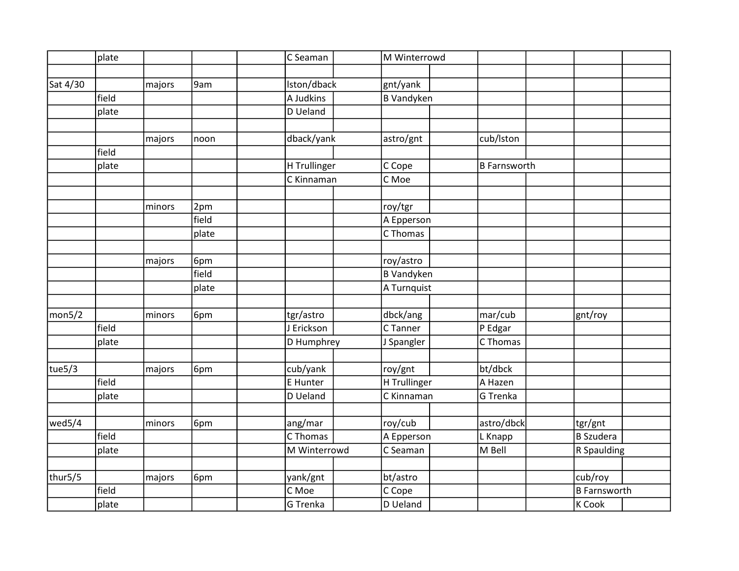|          | plate |        |       | C Seaman     | M Winterrowd      |                     |                     |  |
|----------|-------|--------|-------|--------------|-------------------|---------------------|---------------------|--|
|          |       |        |       |              |                   |                     |                     |  |
| Sat 4/30 |       | majors | 9am   | Iston/dback  | gnt/yank          |                     |                     |  |
|          | field |        |       | A Judkins    | <b>B</b> Vandyken |                     |                     |  |
|          | plate |        |       | D Ueland     |                   |                     |                     |  |
|          |       |        |       |              |                   |                     |                     |  |
|          |       | majors | noon  | dback/yank   | astro/gnt         | cub/lston           |                     |  |
|          | field |        |       |              |                   |                     |                     |  |
|          | plate |        |       | H Trullinger | C Cope            | <b>B</b> Farnsworth |                     |  |
|          |       |        |       | C Kinnaman   | C Moe             |                     |                     |  |
|          |       |        |       |              |                   |                     |                     |  |
|          |       | minors | 2pm   |              | roy/tgr           |                     |                     |  |
|          |       |        | field |              | A Epperson        |                     |                     |  |
|          |       |        | plate |              | C Thomas          |                     |                     |  |
|          |       |        |       |              |                   |                     |                     |  |
|          |       | majors | 6pm   |              | roy/astro         |                     |                     |  |
|          |       |        | field |              | <b>B</b> Vandyken |                     |                     |  |
|          |       |        | plate |              | A Turnquist       |                     |                     |  |
|          |       |        |       |              |                   |                     |                     |  |
| mon5/2   |       | minors | 6pm   | tgr/astro    | dbck/ang          | mar/cub             | gnt/roy             |  |
|          | field |        |       | J Erickson   | C Tanner          | P Edgar             |                     |  |
|          | plate |        |       | D Humphrey   | J Spangler        | C Thomas            |                     |  |
|          |       |        |       |              |                   |                     |                     |  |
| tue5/3   |       | majors | 6pm   | cub/yank     | roy/gnt           | bt/dbck             |                     |  |
|          | field |        |       | E Hunter     | H Trullinger      | A Hazen             |                     |  |
|          | plate |        |       | D Ueland     | C Kinnaman        | G Trenka            |                     |  |
|          |       |        |       |              |                   |                     |                     |  |
| wed5/4   |       | minors | 6pm   | ang/mar      | roy/cub           | astro/dbck          | tgr/gnt             |  |
|          | field |        |       | C Thomas     | A Epperson        | L Knapp             | <b>B</b> Szudera    |  |
|          | plate |        |       | M Winterrowd | C Seaman          | M Bell              | R Spaulding         |  |
|          |       |        |       |              |                   |                     |                     |  |
| thur5/5  |       | majors | 6pm   | yank/gnt     | bt/astro          |                     | cub/roy             |  |
|          | field |        |       | C Moe        | C Cope            |                     | <b>B</b> Farnsworth |  |
|          | plate |        |       | G Trenka     | D Ueland          |                     | K Cook              |  |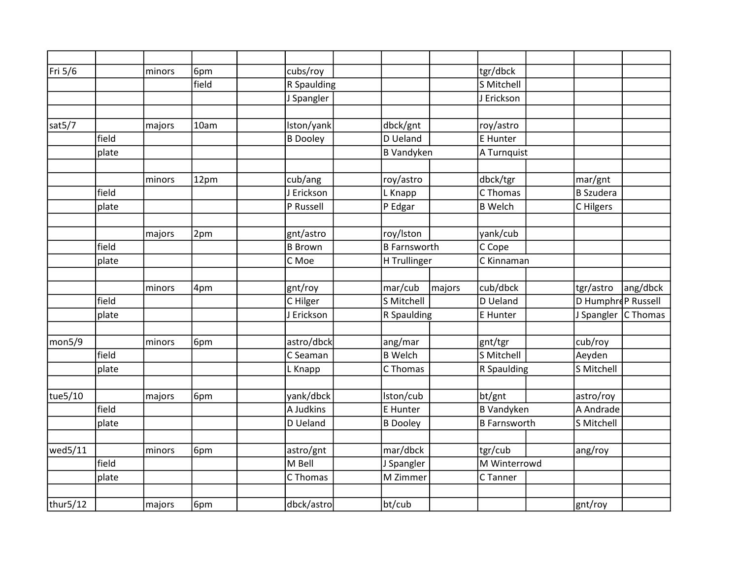| Fri 5/6  |       | minors | 6pm   | cubs/roy        |                     | tgr/dbck            |                       |
|----------|-------|--------|-------|-----------------|---------------------|---------------------|-----------------------|
|          |       |        | field | R Spaulding     |                     | S Mitchell          |                       |
|          |       |        |       | J Spangler      |                     | J Erickson          |                       |
|          |       |        |       |                 |                     |                     |                       |
| sat5/7   |       | majors | 10am  | Iston/yank      | dbck/gnt            | roy/astro           |                       |
|          | field |        |       | <b>B</b> Dooley | D Ueland            | E Hunter            |                       |
|          | plate |        |       |                 | <b>B</b> Vandyken   | A Turnquist         |                       |
|          |       |        |       |                 |                     |                     |                       |
|          |       | minors | 12pm  | cub/ang         | roy/astro           | dbck/tgr            | mar/gnt               |
|          | field |        |       | J Erickson      | L Knapp             | C Thomas            | <b>B</b> Szudera      |
|          | plate |        |       | P Russell       | P Edgar             | <b>B</b> Welch      | C Hilgers             |
|          |       |        |       |                 |                     |                     |                       |
|          |       | majors | 2pm   | gnt/astro       | roy/Iston           | yank/cub            |                       |
|          | field |        |       | <b>B</b> Brown  | <b>B</b> Farnsworth | C Cope              |                       |
|          | plate |        |       | C Moe           | H Trullinger        | C Kinnaman          |                       |
|          |       |        |       |                 |                     |                     |                       |
|          |       | minors | 4pm   | gnt/roy         | mar/cub<br>majors   | cub/dbck            | ang/dbck<br>tgr/astro |
|          | field |        |       | C Hilger        | S Mitchell          | D Ueland            | D HumphrdP Russell    |
|          | plate |        |       | J Erickson      | R Spaulding         | E Hunter            | J Spangler   C Thomas |
|          |       |        |       |                 |                     |                     |                       |
| mon5/9   |       | minors | 6pm   | astro/dbck      | ang/mar             | gnt/tgr             | cub/roy               |
|          | field |        |       | C Seaman        | <b>B</b> Welch      | S Mitchell          | Aeyden                |
|          | plate |        |       | L Knapp         | C Thomas            | R Spaulding         | S Mitchell            |
|          |       |        |       |                 |                     |                     |                       |
| tue5/10  |       | majors | 6pm   | yank/dbck       | Iston/cub           | bt/gnt              | astro/roy             |
|          | field |        |       | A Judkins       | E Hunter            | <b>B</b> Vandyken   | A Andrade             |
|          | plate |        |       | D Ueland        | <b>B</b> Dooley     | <b>B</b> Farnsworth | S Mitchell            |
|          |       |        |       |                 |                     |                     |                       |
| wed5/11  |       | minors | 6pm   | astro/gnt       | mar/dbck            | tgr/cub             | ang/roy               |
|          | field |        |       | M Bell          | J Spangler          | M Winterrowd        |                       |
|          | plate |        |       | C Thomas        | M Zimmer            | C Tanner            |                       |
|          |       |        |       |                 |                     |                     |                       |
| thur5/12 |       | majors | 6pm   | dbck/astro      | bt/cub              |                     | gnt/roy               |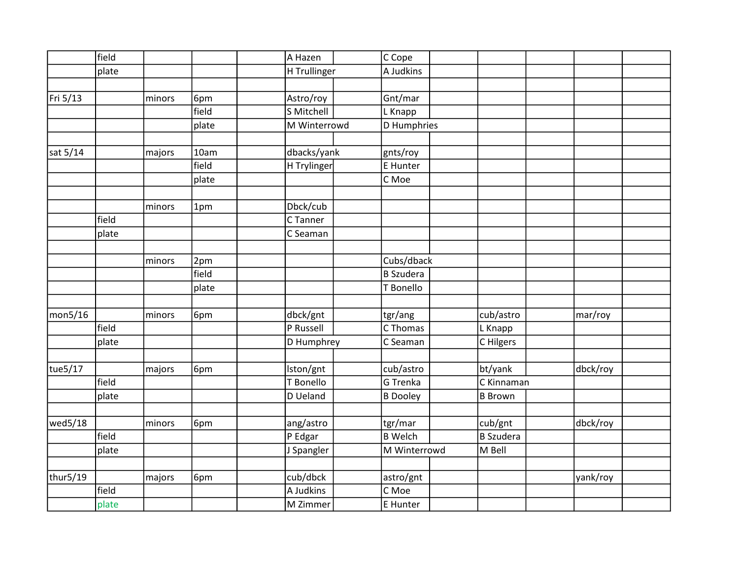|          | field |        |       | A Hazen      | $C$ Cope         |                  |          |  |
|----------|-------|--------|-------|--------------|------------------|------------------|----------|--|
|          | plate |        |       | H Trullinger | A Judkins        |                  |          |  |
|          |       |        |       |              |                  |                  |          |  |
| Fri 5/13 |       | minors | 6pm   | Astro/roy    | Gnt/mar          |                  |          |  |
|          |       |        | field | S Mitchell   | L Knapp          |                  |          |  |
|          |       |        | plate | M Winterrowd | D Humphries      |                  |          |  |
|          |       |        |       |              |                  |                  |          |  |
| sat 5/14 |       | majors | 10am  | dbacks/yank  | gnts/roy         |                  |          |  |
|          |       |        | field | H Trylinger  | E Hunter         |                  |          |  |
|          |       |        | plate |              | C Moe            |                  |          |  |
|          |       |        |       |              |                  |                  |          |  |
|          |       | minors | 1pm   | Dbck/cub     |                  |                  |          |  |
|          | field |        |       | C Tanner     |                  |                  |          |  |
|          | plate |        |       | C Seaman     |                  |                  |          |  |
|          |       |        |       |              |                  |                  |          |  |
|          |       | minors | 2pm   |              | Cubs/dback       |                  |          |  |
|          |       |        | field |              | <b>B</b> Szudera |                  |          |  |
|          |       |        | plate |              | T Bonello        |                  |          |  |
|          |       |        |       |              |                  |                  |          |  |
| mon5/16  |       | minors | 6pm   | dbck/gnt     | tgr/ang          | cub/astro        | mar/roy  |  |
|          | field |        |       | P Russell    | C Thomas         | L Knapp          |          |  |
|          | plate |        |       | D Humphrey   | C Seaman         | C Hilgers        |          |  |
|          |       |        |       |              |                  |                  |          |  |
| tue5/17  |       | majors | 6pm   | Iston/gnt    | cub/astro        | bt/yank          | dbck/roy |  |
|          | field |        |       | T Bonello    | G Trenka         | C Kinnaman       |          |  |
|          | plate |        |       | D Ueland     | <b>B</b> Dooley  | <b>B</b> Brown   |          |  |
|          |       |        |       |              |                  |                  |          |  |
| wed5/18  |       | minors | 6pm   | ang/astro    | tgr/mar          | cub/gnt          | dbck/roy |  |
|          | field |        |       | P Edgar      | <b>B</b> Welch   | <b>B</b> Szudera |          |  |
|          | plate |        |       | J Spangler   | M Winterrowd     | M Bell           |          |  |
|          |       |        |       |              |                  |                  |          |  |
| thur5/19 |       | majors | 6pm   | cub/dbck     | astro/gnt        |                  | yank/roy |  |
|          | field |        |       | A Judkins    | C Moe            |                  |          |  |
|          | plate |        |       | M Zimmer     | E Hunter         |                  |          |  |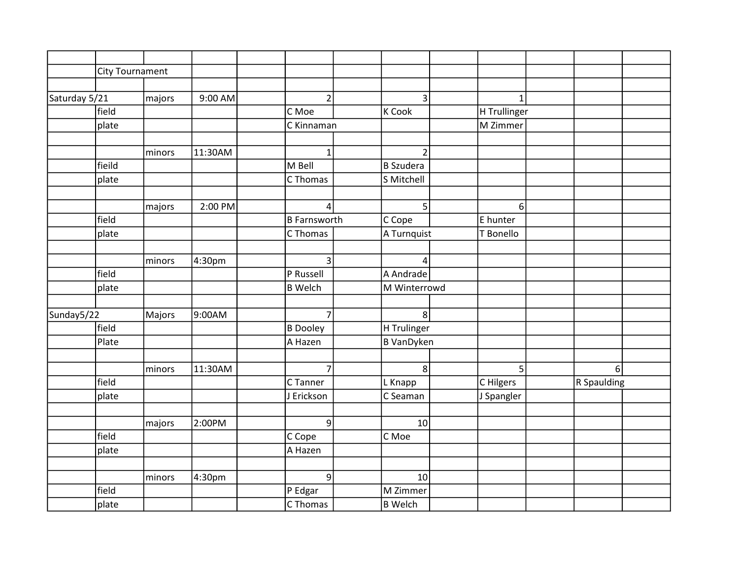|               | <b>City Tournament</b> |        |         |                     |                    |                |                  |
|---------------|------------------------|--------|---------|---------------------|--------------------|----------------|------------------|
|               |                        |        |         |                     |                    |                |                  |
| Saturday 5/21 |                        | majors | 9:00 AM | $\overline{2}$      | 3 <sup>1</sup>     | $1\vert$       |                  |
|               | field                  |        |         | C Moe               | K Cook             | H Trullinger   |                  |
|               | plate                  |        |         | C Kinnaman          |                    | M Zimmer       |                  |
|               |                        |        |         |                     |                    |                |                  |
|               |                        | minors | 11:30AM | $\mathbf{1}$        | $\overline{2}$     |                |                  |
|               | fieild                 |        |         | M Bell              | <b>B</b> Szudera   |                |                  |
|               | plate                  |        |         | C Thomas            | S Mitchell         |                |                  |
|               |                        |        |         |                     |                    |                |                  |
|               |                        | majors | 2:00 PM | $\vert$             | 5 <sup>1</sup>     | 6 <sup>1</sup> |                  |
|               | field                  |        |         | <b>B</b> Farnsworth | C Cope             | E hunter       |                  |
|               | plate                  |        |         | C Thomas            | A Turnquist        | T Bonello      |                  |
|               |                        |        |         |                     |                    |                |                  |
|               |                        | minors | 4:30pm  | 3                   | $\vert 4 \vert$    |                |                  |
|               | field                  |        |         | P Russell           | A Andrade          |                |                  |
|               | plate                  |        |         | <b>B</b> Welch      | M Winterrowd       |                |                  |
|               |                        |        |         |                     |                    |                |                  |
| Sunday5/22    |                        | Majors | 9:00AM  | $\overline{7}$      | 8 <sup>1</sup>     |                |                  |
|               | field                  |        |         | <b>B</b> Dooley     | <b>H</b> Trulinger |                |                  |
|               | Plate                  |        |         | A Hazen             | <b>B VanDyken</b>  |                |                  |
|               |                        |        |         |                     |                    |                |                  |
|               |                        | minors | 11:30AM | $\overline{7}$      | 8                  | 5              | $6 \overline{6}$ |
|               | field                  |        |         | C Tanner            | L Knapp            | C Hilgers      | R Spaulding      |
|               | plate                  |        |         | J Erickson          | C Seaman           | J Spangler     |                  |
|               |                        |        |         |                     |                    |                |                  |
|               |                        | majors | 2:00PM  | 9                   | 10 <sup>1</sup>    |                |                  |
|               | field                  |        |         | C Cope              | C Moe              |                |                  |
|               | plate                  |        |         | A Hazen             |                    |                |                  |
|               |                        |        |         |                     |                    |                |                  |
|               |                        | minors | 4:30pm  | $\vert 9 \vert$     | 10 <sup>1</sup>    |                |                  |
|               | field                  |        |         | P Edgar             | M Zimmer           |                |                  |
|               | plate                  |        |         | C Thomas            | <b>B</b> Welch     |                |                  |